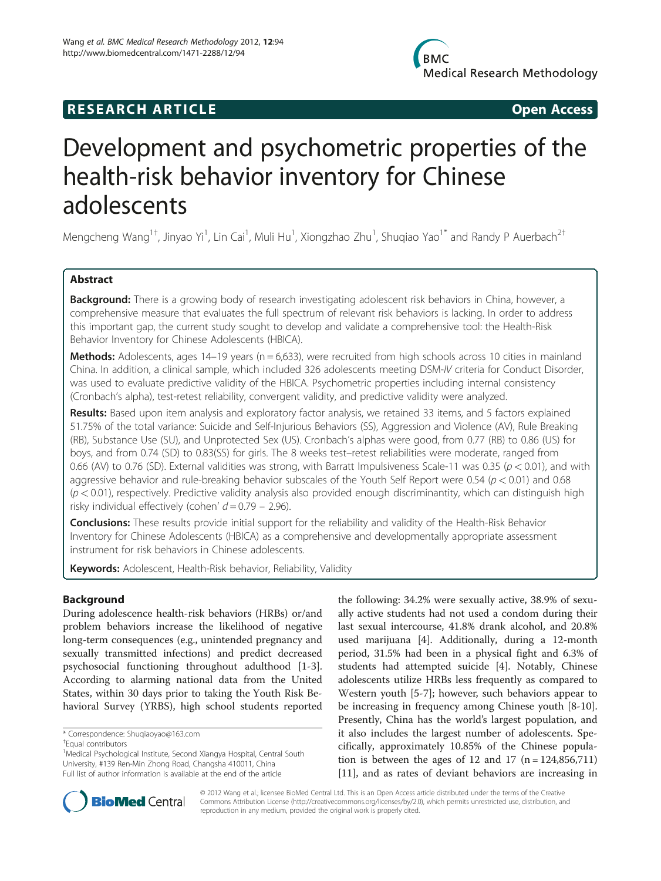# **RESEARCH ARTICLE Example 2014 CONSIDERING CONSIDERING CONSIDERING CONSIDERING CONSIDERING CONSIDERING CONSIDERING CONSIDERING CONSIDERING CONSIDERING CONSIDERING CONSIDERING CONSIDERING CONSIDERING CONSIDERING CONSIDE**

# Development and psychometric properties of the health-risk behavior inventory for Chinese adolescents

Mengcheng Wang<sup>1†</sup>, Jinyao Yi<sup>1</sup>, Lin Cai<sup>1</sup>, Muli Hu<sup>1</sup>, Xiongzhao Zhu<sup>1</sup>, Shuqiao Yao<sup>1\*</sup> and Randy P Auerbach<sup>2†</sup>

# Abstract

Background: There is a growing body of research investigating adolescent risk behaviors in China, however, a comprehensive measure that evaluates the full spectrum of relevant risk behaviors is lacking. In order to address this important gap, the current study sought to develop and validate a comprehensive tool: the Health-Risk Behavior Inventory for Chinese Adolescents (HBICA).

**Methods:** Adolescents, ages 14–19 years ( $n = 6,633$ ), were recruited from high schools across 10 cities in mainland China. In addition, a clinical sample, which included 326 adolescents meeting DSM-IV criteria for Conduct Disorder, was used to evaluate predictive validity of the HBICA. Psychometric properties including internal consistency (Cronbach's alpha), test-retest reliability, convergent validity, and predictive validity were analyzed.

Results: Based upon item analysis and exploratory factor analysis, we retained 33 items, and 5 factors explained 51.75% of the total variance: Suicide and Self-Injurious Behaviors (SS), Aggression and Violence (AV), Rule Breaking (RB), Substance Use (SU), and Unprotected Sex (US). Cronbach's alphas were good, from 0.77 (RB) to 0.86 (US) for boys, and from 0.74 (SD) to 0.83(SS) for girls. The 8 weeks test–retest reliabilities were moderate, ranged from 0.66 (AV) to 0.76 (SD). External validities was strong, with Barratt Impulsiveness Scale-11 was 0.35 ( $p < 0.01$ ), and with aggressive behavior and rule-breaking behavior subscales of the Youth Self Report were 0.54 ( $p < 0.01$ ) and 0.68  $(p < 0.01)$ , respectively. Predictive validity analysis also provided enough discriminantity, which can distinguish high risky individual effectively (cohen'  $d = 0.79 - 2.96$ ).

**Conclusions:** These results provide initial support for the reliability and validity of the Health-Risk Behavior Inventory for Chinese Adolescents (HBICA) as a comprehensive and developmentally appropriate assessment instrument for risk behaviors in Chinese adolescents.

Keywords: Adolescent, Health-Risk behavior, Reliability, Validity

# Background

During adolescence health-risk behaviors (HRBs) or/and problem behaviors increase the likelihood of negative long-term consequences (e.g., unintended pregnancy and sexually transmitted infections) and predict decreased psychosocial functioning throughout adulthood [[1-3](#page-7-0)]. According to alarming national data from the United States, within 30 days prior to taking the Youth Risk Behavioral Survey (YRBS), high school students reported

\* Correspondence: [Shuqiaoyao@163.com](mailto:Shuqiaoyao@163.com) †

the following: 34.2% were sexually active, 38.9% of sexually active students had not used a condom during their last sexual intercourse, 41.8% drank alcohol, and 20.8% used marijuana [[4\]](#page-7-0). Additionally, during a 12-month period, 31.5% had been in a physical fight and 6.3% of students had attempted suicide [[4\]](#page-7-0). Notably, Chinese adolescents utilize HRBs less frequently as compared to Western youth [\[5](#page-7-0)-[7](#page-7-0)]; however, such behaviors appear to be increasing in frequency among Chinese youth [[8-10](#page-7-0)]. Presently, China has the world's largest population, and it also includes the largest number of adolescents. Specifically, approximately 10.85% of the Chinese population is between the ages of 12 and 17  $(n = 124, 856, 711)$ [[11\]](#page-7-0), and as rates of deviant behaviors are increasing in



© 2012 Wang et al.; licensee BioMed Central Ltd. This is an Open Access article distributed under the terms of the Creative Commons Attribution License [\(http://creativecommons.org/licenses/by/2.0\)](http://creativecommons.org/licenses/by/2.0), which permits unrestricted use, distribution, and reproduction in any medium, provided the original work is properly cited.

Equal contributors

<sup>&</sup>lt;sup>1</sup>Medical Psychological Institute, Second Xiangya Hospital, Central South University, #139 Ren-Min Zhong Road, Changsha 410011, China Full list of author information is available at the end of the article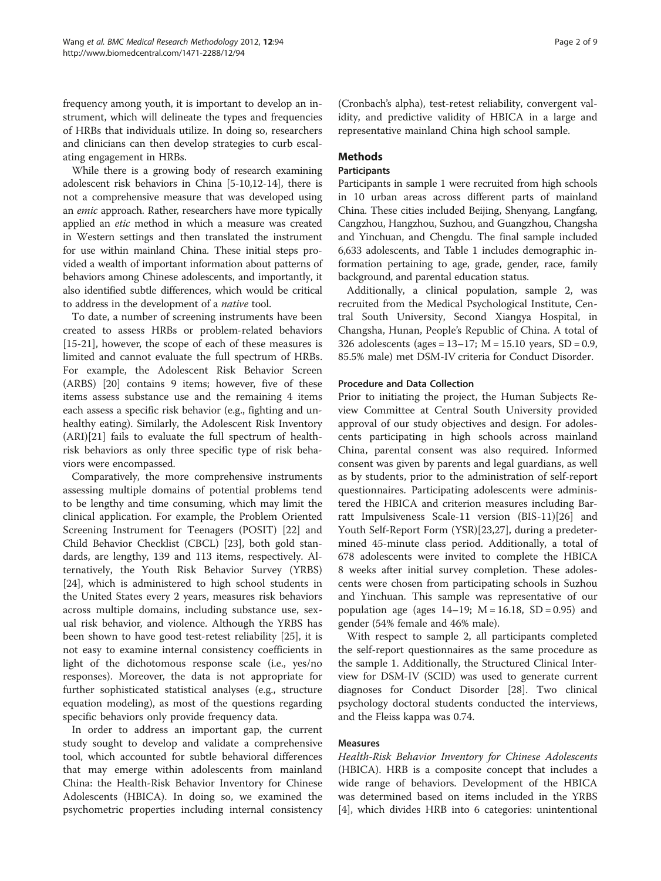frequency among youth, it is important to develop an instrument, which will delineate the types and frequencies of HRBs that individuals utilize. In doing so, researchers and clinicians can then develop strategies to curb escalating engagement in HRBs.

While there is a growing body of research examining adolescent risk behaviors in China [\[5](#page-7-0)-[10,12-14](#page-7-0)], there is not a comprehensive measure that was developed using an emic approach. Rather, researchers have more typically applied an etic method in which a measure was created in Western settings and then translated the instrument for use within mainland China. These initial steps provided a wealth of important information about patterns of behaviors among Chinese adolescents, and importantly, it also identified subtle differences, which would be critical to address in the development of a native tool.

To date, a number of screening instruments have been created to assess HRBs or problem-related behaviors [[15-21](#page-7-0)], however, the scope of each of these measures is limited and cannot evaluate the full spectrum of HRBs. For example, the Adolescent Risk Behavior Screen (ARBS) [[20](#page-7-0)] contains 9 items; however, five of these items assess substance use and the remaining 4 items each assess a specific risk behavior (e.g., fighting and unhealthy eating). Similarly, the Adolescent Risk Inventory (ARI)[\[21](#page-7-0)] fails to evaluate the full spectrum of healthrisk behaviors as only three specific type of risk behaviors were encompassed.

Comparatively, the more comprehensive instruments assessing multiple domains of potential problems tend to be lengthy and time consuming, which may limit the clinical application. For example, the Problem Oriented Screening Instrument for Teenagers (POSIT) [[22\]](#page-7-0) and Child Behavior Checklist (CBCL) [\[23\]](#page-7-0), both gold standards, are lengthy, 139 and 113 items, respectively. Alternatively, the Youth Risk Behavior Survey (YRBS) [[24\]](#page-7-0), which is administered to high school students in the United States every 2 years, measures risk behaviors across multiple domains, including substance use, sexual risk behavior, and violence. Although the YRBS has been shown to have good test-retest reliability [\[25](#page-7-0)], it is not easy to examine internal consistency coefficients in light of the dichotomous response scale (i.e., yes/no responses). Moreover, the data is not appropriate for further sophisticated statistical analyses (e.g., structure equation modeling), as most of the questions regarding specific behaviors only provide frequency data.

In order to address an important gap, the current study sought to develop and validate a comprehensive tool, which accounted for subtle behavioral differences that may emerge within adolescents from mainland China: the Health-Risk Behavior Inventory for Chinese Adolescents (HBICA). In doing so, we examined the psychometric properties including internal consistency (Cronbach's alpha), test-retest reliability, convergent validity, and predictive validity of HBICA in a large and representative mainland China high school sample.

# Methods

#### Participants

Participants in sample 1 were recruited from high schools in 10 urban areas across different parts of mainland China. These cities included Beijing, Shenyang, Langfang, Cangzhou, Hangzhou, Suzhou, and Guangzhou, Changsha and Yinchuan, and Chengdu. The final sample included 6,633 adolescents, and Table [1](#page-2-0) includes demographic information pertaining to age, grade, gender, race, family background, and parental education status.

Additionally, a clinical population, sample 2, was recruited from the Medical Psychological Institute, Central South University, Second Xiangya Hospital, in Changsha, Hunan, People's Republic of China. A total of 326 adolescents (ages = 13–17; M = 15.10 years, SD = 0.9, 85.5% male) met DSM-IV criteria for Conduct Disorder.

#### Procedure and Data Collection

Prior to initiating the project, the Human Subjects Review Committee at Central South University provided approval of our study objectives and design. For adolescents participating in high schools across mainland China, parental consent was also required. Informed consent was given by parents and legal guardians, as well as by students, prior to the administration of self-report questionnaires. Participating adolescents were administered the HBICA and criterion measures including Barratt Impulsiveness Scale-11 version (BIS-11)[[26\]](#page-7-0) and Youth Self-Report Form (YSR)[[23,27\]](#page-7-0), during a predetermined 45-minute class period. Additionally, a total of 678 adolescents were invited to complete the HBICA 8 weeks after initial survey completion. These adolescents were chosen from participating schools in Suzhou and Yinchuan. This sample was representative of our population age (ages  $14-19$ ;  $M = 16.18$ ,  $SD = 0.95$ ) and gender (54% female and 46% male).

With respect to sample 2, all participants completed the self-report questionnaires as the same procedure as the sample 1. Additionally, the Structured Clinical Interview for DSM-IV (SCID) was used to generate current diagnoses for Conduct Disorder [[28](#page-7-0)]. Two clinical psychology doctoral students conducted the interviews, and the Fleiss kappa was 0.74.

# Measures

Health-Risk Behavior Inventory for Chinese Adolescents (HBICA). HRB is a composite concept that includes a wide range of behaviors. Development of the HBICA was determined based on items included in the YRBS [[4\]](#page-7-0), which divides HRB into 6 categories: unintentional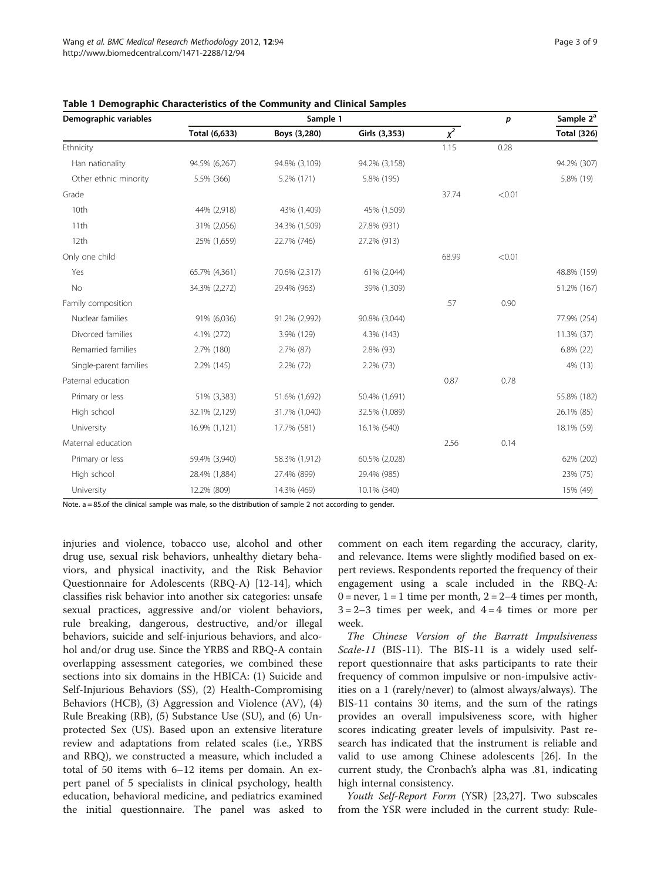| Demographic variables  |               | Sample 1      |               | p     | Sample 2 <sup>a</sup> |                    |
|------------------------|---------------|---------------|---------------|-------|-----------------------|--------------------|
|                        | Total (6,633) | Boys (3,280)  | Girls (3,353) | $x^2$ |                       | <b>Total (326)</b> |
| Ethnicity              |               |               |               | 1.15  | 0.28                  |                    |
| Han nationality        | 94.5% (6,267) | 94.8% (3,109) | 94.2% (3,158) |       |                       | 94.2% (307)        |
| Other ethnic minority  | 5.5% (366)    | 5.2% (171)    | 5.8% (195)    |       |                       | 5.8% (19)          |
| Grade                  |               |               |               | 37.74 | < 0.01                |                    |
| 10th                   | 44% (2,918)   | 43% (1,409)   | 45% (1,509)   |       |                       |                    |
| 11th                   | 31% (2,056)   | 34.3% (1,509) | 27.8% (931)   |       |                       |                    |
| 12th                   | 25% (1,659)   | 22.7% (746)   | 27.2% (913)   |       |                       |                    |
| Only one child         |               |               |               | 68.99 | < 0.01                |                    |
| Yes                    | 65.7% (4,361) | 70.6% (2,317) | 61% (2,044)   |       |                       | 48.8% (159)        |
| No                     | 34.3% (2,272) | 29.4% (963)   | 39% (1,309)   |       |                       | 51.2% (167)        |
| Family composition     |               |               |               | .57   | 0.90                  |                    |
| Nuclear families       | 91% (6,036)   | 91.2% (2,992) | 90.8% (3,044) |       |                       | 77.9% (254)        |
| Divorced families      | 4.1% (272)    | 3.9% (129)    | 4.3% (143)    |       |                       | 11.3% (37)         |
| Remarried families     | 2.7% (180)    | 2.7% (87)     | 2.8% (93)     |       |                       | 6.8% (22)          |
| Single-parent families | 2.2% (145)    | 2.2% (72)     | $2.2\%$ (73)  |       |                       | 4% (13)            |
| Paternal education     |               |               |               | 0.87  | 0.78                  |                    |
| Primary or less        | 51% (3,383)   | 51.6% (1,692) | 50.4% (1,691) |       |                       | 55.8% (182)        |
| High school            | 32.1% (2,129) | 31.7% (1,040) | 32.5% (1,089) |       |                       | 26.1% (85)         |
| University             | 16.9% (1,121) | 17.7% (581)   | 16.1% (540)   |       |                       | 18.1% (59)         |
| Maternal education     |               |               |               | 2.56  | 0.14                  |                    |
| Primary or less        | 59.4% (3,940) | 58.3% (1,912) | 60.5% (2,028) |       |                       | 62% (202)          |
| High school            | 28.4% (1,884) | 27.4% (899)   | 29.4% (985)   |       |                       | 23% (75)           |
| University             | 12.2% (809)   | 14.3% (469)   | 10.1% (340)   |       |                       | 15% (49)           |

<span id="page-2-0"></span>

| Table 1 Demographic Characteristics of the Community and Clinical Samples |  |  |
|---------------------------------------------------------------------------|--|--|
|---------------------------------------------------------------------------|--|--|

Note. a = 85.of the clinical sample was male, so the distribution of sample 2 not according to gender.

injuries and violence, tobacco use, alcohol and other drug use, sexual risk behaviors, unhealthy dietary behaviors, and physical inactivity, and the Risk Behavior Questionnaire for Adolescents (RBQ-A) [\[12-14](#page-7-0)], which classifies risk behavior into another six categories: unsafe sexual practices, aggressive and/or violent behaviors, rule breaking, dangerous, destructive, and/or illegal behaviors, suicide and self-injurious behaviors, and alcohol and/or drug use. Since the YRBS and RBQ-A contain overlapping assessment categories, we combined these sections into six domains in the HBICA: (1) Suicide and Self-Injurious Behaviors (SS), (2) Health-Compromising Behaviors (HCB), (3) Aggression and Violence (AV), (4) Rule Breaking (RB), (5) Substance Use (SU), and (6) Unprotected Sex (US). Based upon an extensive literature review and adaptations from related scales (i.e., YRBS and RBQ), we constructed a measure, which included a total of 50 items with 6–12 items per domain. An expert panel of 5 specialists in clinical psychology, health education, behavioral medicine, and pediatrics examined the initial questionnaire. The panel was asked to

comment on each item regarding the accuracy, clarity, and relevance. Items were slightly modified based on expert reviews. Respondents reported the frequency of their engagement using a scale included in the RBQ-A:  $0 =$  never,  $1 = 1$  time per month,  $2 = 2 - 4$  times per month,  $3 = 2-3$  times per week, and  $4 = 4$  times or more per week.

The Chinese Version of the Barratt Impulsiveness Scale-11 (BIS-11). The BIS-11 is a widely used selfreport questionnaire that asks participants to rate their frequency of common impulsive or non-impulsive activities on a 1 (rarely/never) to (almost always/always). The BIS-11 contains 30 items, and the sum of the ratings provides an overall impulsiveness score, with higher scores indicating greater levels of impulsivity. Past research has indicated that the instrument is reliable and valid to use among Chinese adolescents [\[26](#page-7-0)]. In the current study, the Cronbach's alpha was .81, indicating high internal consistency.

Youth Self-Report Form (YSR) [\[23,27\]](#page-7-0). Two subscales from the YSR were included in the current study: Rule-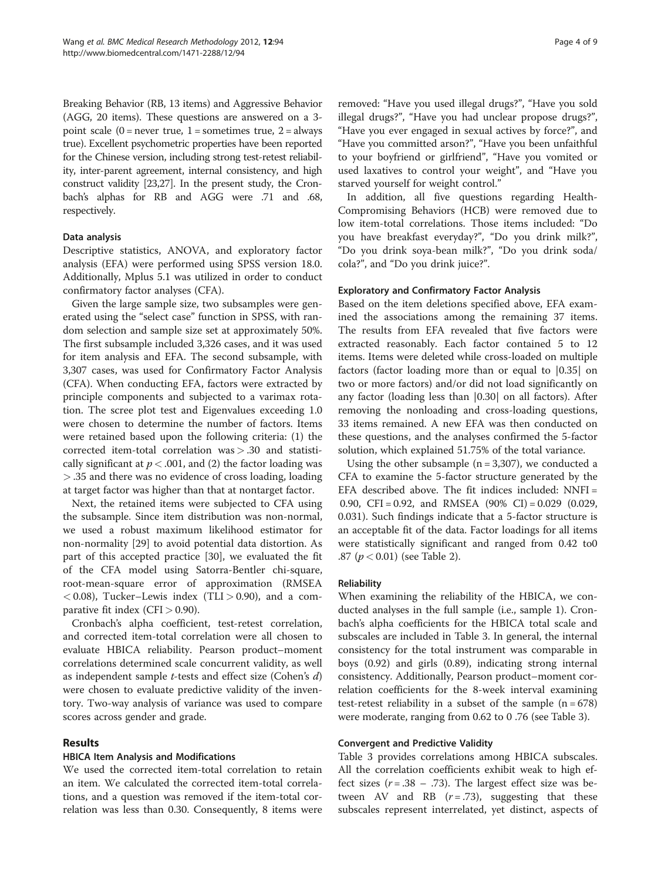Breaking Behavior (RB, 13 items) and Aggressive Behavior (AGG, 20 items). These questions are answered on a 3 point scale  $(0 =$  never true,  $1 =$  sometimes true,  $2 =$  always true). Excellent psychometric properties have been reported for the Chinese version, including strong test-retest reliability, inter-parent agreement, internal consistency, and high construct validity [\[23,27](#page-7-0)]. In the present study, the Cronbach's alphas for RB and AGG were .71 and .68, respectively.

#### Data analysis

Descriptive statistics, ANOVA, and exploratory factor analysis (EFA) were performed using SPSS version 18.0. Additionally, Mplus 5.1 was utilized in order to conduct confirmatory factor analyses (CFA).

Given the large sample size, two subsamples were generated using the "select case" function in SPSS, with random selection and sample size set at approximately 50%. The first subsample included 3,326 cases, and it was used for item analysis and EFA. The second subsample, with 3,307 cases, was used for Confirmatory Factor Analysis (CFA). When conducting EFA, factors were extracted by principle components and subjected to a varimax rotation. The scree plot test and Eigenvalues exceeding 1.0 were chosen to determine the number of factors. Items were retained based upon the following criteria: (1) the corrected item-total correlation was > .30 and statistically significant at  $p < .001$ , and (2) the factor loading was > .35 and there was no evidence of cross loading, loading at target factor was higher than that at nontarget factor.

Next, the retained items were subjected to CFA using the subsample. Since item distribution was non-normal, we used a robust maximum likelihood estimator for non-normality [\[29\]](#page-7-0) to avoid potential data distortion. As part of this accepted practice [[30](#page-7-0)], we evaluated the fit of the CFA model using Satorra-Bentler chi-square, root-mean-square error of approximation (RMSEA  $<$  0.08), Tucker–Lewis index (TLI  $>$  0.90), and a comparative fit index (CFI  $> 0.90$ ).

Cronbach's alpha coefficient, test-retest correlation, and corrected item-total correlation were all chosen to evaluate HBICA reliability. Pearson product–moment correlations determined scale concurrent validity, as well as independent sample  $t$ -tests and effect size (Cohen's  $d$ ) were chosen to evaluate predictive validity of the inventory. Two-way analysis of variance was used to compare scores across gender and grade.

# Results

# HBICA Item Analysis and Modifications

We used the corrected item-total correlation to retain an item. We calculated the corrected item-total correlations, and a question was removed if the item-total correlation was less than 0.30. Consequently, 8 items were removed: "Have you used illegal drugs?", "Have you sold illegal drugs?", "Have you had unclear propose drugs?", "Have you ever engaged in sexual actives by force?", and "Have you committed arson?", "Have you been unfaithful to your boyfriend or girlfriend", "Have you vomited or used laxatives to control your weight", and "Have you starved yourself for weight control."

In addition, all five questions regarding Health-Compromising Behaviors (HCB) were removed due to low item-total correlations. Those items included: "Do you have breakfast everyday?", "Do you drink milk?", "Do you drink soya-bean milk?", "Do you drink soda/ cola?", and "Do you drink juice?".

#### Exploratory and Confirmatory Factor Analysis

Based on the item deletions specified above, EFA examined the associations among the remaining 37 items. The results from EFA revealed that five factors were extracted reasonably. Each factor contained 5 to 12 items. Items were deleted while cross-loaded on multiple factors (factor loading more than or equal to |0.35| on two or more factors) and/or did not load significantly on any factor (loading less than |0.30| on all factors). After removing the nonloading and cross-loading questions, 33 items remained. A new EFA was then conducted on these questions, and the analyses confirmed the 5-factor solution, which explained 51.75% of the total variance.

Using the other subsample  $(n = 3,307)$ , we conducted a CFA to examine the 5-factor structure generated by the EFA described above. The fit indices included: NNFI = 0.90, CFI = 0.92, and RMSEA  $(90\% \text{ CI}) = 0.029$   $(0.029, 0.029)$ 0.031). Such findings indicate that a 5-factor structure is an acceptable fit of the data. Factor loadings for all items were statistically significant and ranged from 0.42 to0 .87 ( $p < 0.01$ ) (see Table [2\)](#page-4-0).

# Reliability

When examining the reliability of the HBICA, we conducted analyses in the full sample (i.e., sample 1). Cronbach's alpha coefficients for the HBICA total scale and subscales are included in Table [3.](#page-5-0) In general, the internal consistency for the total instrument was comparable in boys (0.92) and girls (0.89), indicating strong internal consistency. Additionally, Pearson product–moment correlation coefficients for the 8-week interval examining test-retest reliability in a subset of the sample  $(n = 678)$ were moderate, ranging from 0.62 to 0 .76 (see Table [3](#page-5-0)).

#### Convergent and Predictive Validity

Table [3](#page-5-0) provides correlations among HBICA subscales. All the correlation coefficients exhibit weak to high effect sizes  $(r=.38-.73)$ . The largest effect size was between AV and RB  $(r=.73)$ , suggesting that these subscales represent interrelated, yet distinct, aspects of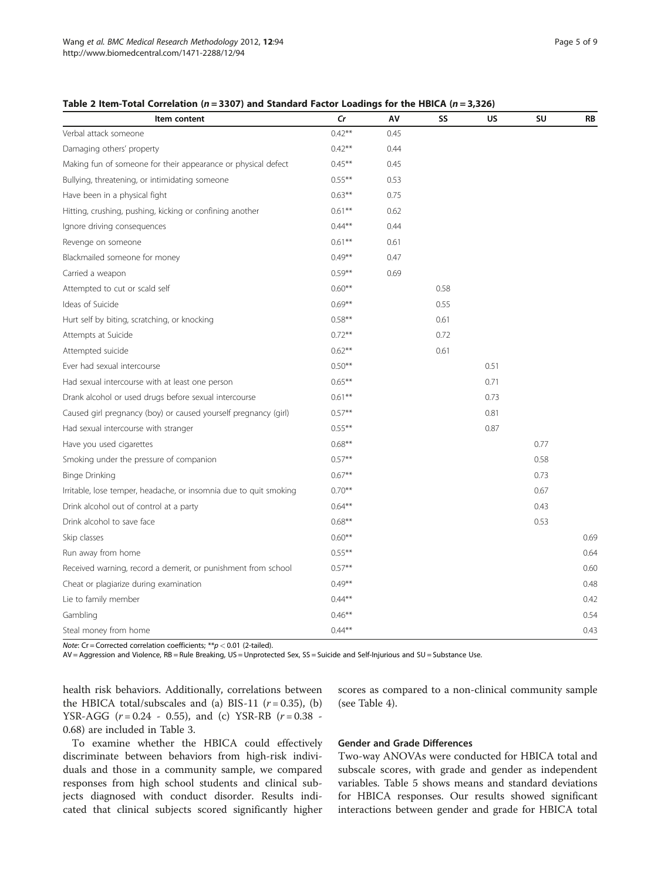| Item content                                                      | $\mathsf{C}$ r | AV   | SS   | <b>US</b> | SU   | RB   |
|-------------------------------------------------------------------|----------------|------|------|-----------|------|------|
| Verbal attack someone                                             | $0.42***$      | 0.45 |      |           |      |      |
| Damaging others' property                                         | $0.42***$      | 0.44 |      |           |      |      |
| Making fun of someone for their appearance or physical defect     | $0.45***$      | 0.45 |      |           |      |      |
| Bullying, threatening, or intimidating someone                    | $0.55***$      | 0.53 |      |           |      |      |
| Have been in a physical fight                                     | $0.63***$      | 0.75 |      |           |      |      |
| Hitting, crushing, pushing, kicking or confining another          | $0.61***$      | 0.62 |      |           |      |      |
| Ignore driving consequences                                       | $0.44***$      | 0.44 |      |           |      |      |
| Revenge on someone                                                | $0.61***$      | 0.61 |      |           |      |      |
| Blackmailed someone for money                                     | $0.49**$       | 0.47 |      |           |      |      |
| Carried a weapon                                                  | $0.59***$      | 0.69 |      |           |      |      |
| Attempted to cut or scald self                                    | $0.60**$       |      | 0.58 |           |      |      |
| Ideas of Suicide                                                  | $0.69**$       |      | 0.55 |           |      |      |
| Hurt self by biting, scratching, or knocking                      | $0.58**$       |      | 0.61 |           |      |      |
| Attempts at Suicide                                               | $0.72***$      |      | 0.72 |           |      |      |
| Attempted suicide                                                 | $0.62***$      |      | 0.61 |           |      |      |
| Ever had sexual intercourse                                       | $0.50***$      |      |      | 0.51      |      |      |
| Had sexual intercourse with at least one person                   | $0.65***$      |      |      | 0.71      |      |      |
| Drank alcohol or used drugs before sexual intercourse             | $0.61***$      |      |      | 0.73      |      |      |
| Caused girl pregnancy (boy) or caused yourself pregnancy (girl)   | $0.57***$      |      |      | 0.81      |      |      |
| Had sexual intercourse with stranger                              | $0.55***$      |      |      | 0.87      |      |      |
| Have you used cigarettes                                          | $0.68**$       |      |      |           | 0.77 |      |
| Smoking under the pressure of companion                           | $0.57***$      |      |      |           | 0.58 |      |
| Binge Drinking                                                    | $0.67**$       |      |      |           | 0.73 |      |
| Irritable, lose temper, headache, or insomnia due to quit smoking | $0.70**$       |      |      |           | 0.67 |      |
| Drink alcohol out of control at a party                           | $0.64***$      |      |      |           | 0.43 |      |
| Drink alcohol to save face                                        | $0.68***$      |      |      |           | 0.53 |      |
| Skip classes                                                      | $0.60**$       |      |      |           |      | 0.69 |
| Run away from home                                                | $0.55***$      |      |      |           |      | 0.64 |
| Received warning, record a demerit, or punishment from school     | $0.57**$       |      |      |           |      | 0.60 |
| Cheat or plagiarize during examination                            | $0.49**$       |      |      |           |      | 0.48 |
| Lie to family member                                              | $0.44**$       |      |      |           |      | 0.42 |
| Gambling                                                          | $0.46**$       |      |      |           |      | 0.54 |
| Steal money from home                                             | $0.44***$      |      |      |           |      | 0.43 |

<span id="page-4-0"></span>Table 2 Item-Total Correlation ( $n = 3307$ ) and Standard Factor Loadings for the HBICA ( $n = 3,326$ )

Note: Cr = Corrected correlation coefficients;  $**p$  < 0.01 (2-tailed).

AV = Aggression and Violence, RB = Rule Breaking, US = Unprotected Sex, SS = Suicide and Self-Injurious and SU = Substance Use.

health risk behaviors. Additionally, correlations between the HBICA total/subscales and (a) BIS-11  $(r = 0.35)$ , (b) YSR-AGG  $(r = 0.24 - 0.55)$ , and  $(c)$  YSR-RB  $(r = 0.38 - 0.55)$ 0.68) are included in Table [3.](#page-5-0)

To examine whether the HBICA could effectively discriminate between behaviors from high-risk individuals and those in a community sample, we compared responses from high school students and clinical subjects diagnosed with conduct disorder. Results indicated that clinical subjects scored significantly higher scores as compared to a non-clinical community sample (see Table [4\)](#page-5-0).

#### Gender and Grade Differences

Two-way ANOVAs were conducted for HBICA total and subscale scores, with grade and gender as independent variables. Table [5](#page-6-0) shows means and standard deviations for HBICA responses. Our results showed significant interactions between gender and grade for HBICA total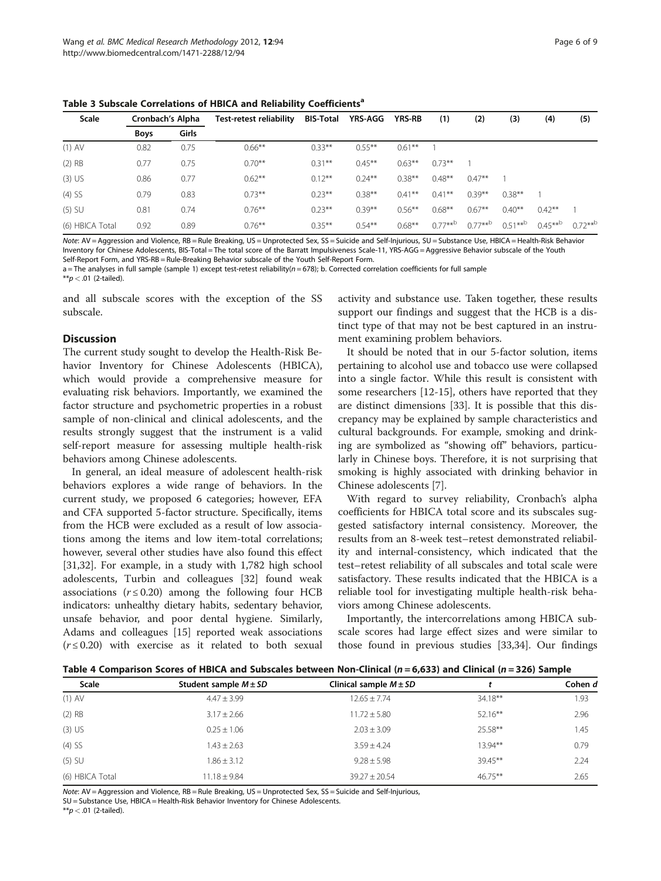<span id="page-5-0"></span>Table 3 Subscale Correlations of HBICA and Reliability Coefficients<sup>a</sup>

| Scale           | Cronbach's Alpha |       | <b>Test-retest reliability</b> | <b>BIS-Total</b> | YRS-AGG   | <b>YRS-RB</b> | (1)       | (2)       | (3)       | (4)               | (5)       |
|-----------------|------------------|-------|--------------------------------|------------------|-----------|---------------|-----------|-----------|-----------|-------------------|-----------|
|                 | Boys             | Girls |                                |                  |           |               |           |           |           |                   |           |
| $(1)$ AV        | 0.82             | 0.75  | $0.66***$                      | $0.33***$        | $0.55***$ | $0.61**$      |           |           |           |                   |           |
| $(2)$ RB        | 0.77             | 0.75  | $0.70***$                      | $0.31***$        | $0.45***$ | $0.63**$      | $0.73***$ |           |           |                   |           |
| $(3)$ US        | 0.86             | 0.77  | $0.62***$                      | $0.12***$        | $0.24***$ | $0.38***$     | $0.48***$ | $0.47***$ |           |                   |           |
| $(4)$ SS        | 0.79             | 0.83  | $0.73***$                      | $0.23***$        | $0.38***$ | $0.41***$     | $0.41***$ | $0.39***$ | $0.38***$ |                   |           |
| $(5)$ SU        | 0.81             | 0.74  | $0.76***$                      | $0.23***$        | $0.39***$ | $0.56***$     | $0.68***$ | $0.67***$ | $0.40***$ | $0.42***$         |           |
| (6) HBICA Total | 0.92             | 0.89  | $0.76***$                      | $0.35***$        | $0.54***$ | $0.68***$     | $0.77***$ | $0.77***$ | $0.51***$ | $0.45***^{\rm b}$ | $0.72***$ |

Note: AV = Aggression and Violence, RB = Rule Breaking, US = Unprotected Sex, SS = Suicide and Self-Injurious, SU = Substance Use, HBICA = Health-Risk Behavior Inventory for Chinese Adolescents, BIS-Total = The total score of the Barratt Impulsiveness Scale-11, YRS-AGG = Aggressive Behavior subscale of the Youth Self-Report Form, and YRS-RB = Rule-Breaking Behavior subscale of the Youth Self-Report Form.

a = The analyses in full sample (sample 1) except test-retest reliability(n = 678); b. Corrected correlation coefficients for full sample

 $**p < .01$  (2-tailed).

and all subscale scores with the exception of the SS subscale.

# **Discussion**

The current study sought to develop the Health-Risk Behavior Inventory for Chinese Adolescents (HBICA), which would provide a comprehensive measure for evaluating risk behaviors. Importantly, we examined the factor structure and psychometric properties in a robust sample of non-clinical and clinical adolescents, and the results strongly suggest that the instrument is a valid self-report measure for assessing multiple health-risk behaviors among Chinese adolescents.

In general, an ideal measure of adolescent health-risk behaviors explores a wide range of behaviors. In the current study, we proposed 6 categories; however, EFA and CFA supported 5-factor structure. Specifically, items from the HCB were excluded as a result of low associations among the items and low item-total correlations; however, several other studies have also found this effect [[31,32\]](#page-7-0). For example, in a study with 1,782 high school adolescents, Turbin and colleagues [[32\]](#page-7-0) found weak associations ( $r \leq 0.20$ ) among the following four HCB indicators: unhealthy dietary habits, sedentary behavior, unsafe behavior, and poor dental hygiene. Similarly, Adams and colleagues [\[15](#page-7-0)] reported weak associations  $(r \le 0.20)$  with exercise as it related to both sexual activity and substance use. Taken together, these results support our findings and suggest that the HCB is a distinct type of that may not be best captured in an instrument examining problem behaviors.

It should be noted that in our 5-factor solution, items pertaining to alcohol use and tobacco use were collapsed into a single factor. While this result is consistent with some researchers [[12-15\]](#page-7-0), others have reported that they are distinct dimensions [[33\]](#page-7-0). It is possible that this discrepancy may be explained by sample characteristics and cultural backgrounds. For example, smoking and drinking are symbolized as "showing off" behaviors, particularly in Chinese boys. Therefore, it is not surprising that smoking is highly associated with drinking behavior in Chinese adolescents [\[7](#page-7-0)].

With regard to survey reliability, Cronbach's alpha coefficients for HBICA total score and its subscales suggested satisfactory internal consistency. Moreover, the results from an 8-week test–retest demonstrated reliability and internal-consistency, which indicated that the test–retest reliability of all subscales and total scale were satisfactory. These results indicated that the HBICA is a reliable tool for investigating multiple health-risk behaviors among Chinese adolescents.

Importantly, the intercorrelations among HBICA subscale scores had large effect sizes and were similar to those found in previous studies [[33,34](#page-7-0)]. Our findings

| <b>Scale</b>    | Student sample $M \pm SD$ | Clinical sample $M \pm SD$ |            | Cohen d |
|-----------------|---------------------------|----------------------------|------------|---------|
| $(1)$ AV        | $4.47 + 3.99$             | $12.65 \pm 7.74$           | $34.18***$ | 1.93    |
| $(2)$ RB        | $3.17 \pm 2.66$           | $11.72 \pm 5.80$           | $52.16***$ | 2.96    |
| $(3)$ US        | $0.25 \pm 1.06$           | $2.03 \pm 3.09$            | $25.58**$  | 1.45    |
| $(4)$ SS        | $1.43 \pm 2.63$           | $3.59 + 4.24$              | $13.94**$  | 0.79    |
| $(5)$ SU        | $1.86 \pm 3.12$           | $9.28 \pm 5.98$            | 39.45**    | 2.24    |
| (6) HBICA Total | $11.18 \pm 9.84$          | $39.27 \pm 20.54$          | $46.75***$ | 2.65    |

Note: AV = Aggression and Violence, RB = Rule Breaking, US = Unprotected Sex, SS = Suicide and Self-Injurious, SU = Substance Use, HBICA = Health-Risk Behavior Inventory for Chinese Adolescents.

 $**p < .01$  (2-tailed).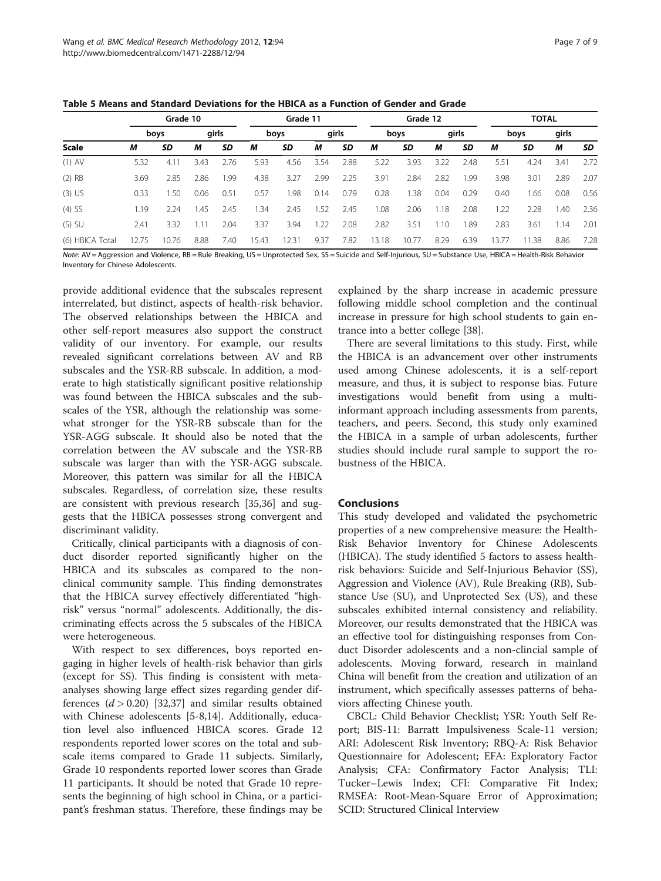<span id="page-6-0"></span>

|                 |       | Grade 10 |      |       | Grade 11 |       |      | Grade 12 |       |       |      | <b>TOTAL</b> |       |       |       |      |
|-----------------|-------|----------|------|-------|----------|-------|------|----------|-------|-------|------|--------------|-------|-------|-------|------|
|                 |       | boys     |      | girls |          | boys  |      | girls    |       | boys  |      | girls        |       | boys  | girls |      |
| <b>Scale</b>    | м     | SD       | М    | SD    | М        | SD    | М    | SD       | М     | SD    | М    | <b>SD</b>    | М     | SD    | М     | SD   |
| $(1)$ AV        | 5.32  | 4.11     | 3.43 | 2.76  | 5.93     | 4.56  | 3.54 | 2.88     | 5.22  | 3.93  | 3.22 | 2.48         | 5.51  | 4.24  | 3.41  | 2.72 |
| $(2)$ RB        | 3.69  | 2.85     | 2.86 | 1.99  | 4.38     | 3.27  | 2.99 | 2.25     | 3.91  | 2.84  | 2.82 | 1.99         | 3.98  | 3.01  | 2.89  | 2.07 |
| $(3)$ US        | 0.33  | 1.50     | 0.06 | 0.51  | 0.57     | 1.98  | 0.14 | 0.79     | 0.28  | .38   | 0.04 | 0.29         | 0.40  | 1.66  | 0.08  | 0.56 |
| $(4)$ SS        | 1.19  | 2.24     | 1.45 | 2.45  | 1.34     | 2.45  | 1.52 | 2.45     | 1.08  | 2.06  | 1.18 | 2.08         | 1.22  | 2.28  | 40، ، | 2.36 |
| $(5)$ SU        | 2.41  | 3.32     |      | 2.04  | 3.37     | 3.94  | 1.22 | 2.08     | 2.82  | 3.51  | 1.10 | 1.89         | 2.83  | 3.61  | 1.14  | 2.01 |
| (6) HBICA Total | 12.75 | 10.76    | 8.88 | 7.40  | 15.43    | 12.31 | 9.37 | 7.82     | 13.18 | 10.77 | 8.29 | 6.39         | 13.77 | 11.38 | 8.86  | 7.28 |

Note: AV = Aggression and Violence, RB = Rule Breaking, US = Unprotected Sex, SS = Suicide and Self-Injurious, SU = Substance Use, HBICA = Health-Risk Behavior Inventory for Chinese Adolescents.

provide additional evidence that the subscales represent interrelated, but distinct, aspects of health-risk behavior. The observed relationships between the HBICA and other self-report measures also support the construct validity of our inventory. For example, our results revealed significant correlations between AV and RB subscales and the YSR-RB subscale. In addition, a moderate to high statistically significant positive relationship was found between the HBICA subscales and the subscales of the YSR, although the relationship was somewhat stronger for the YSR-RB subscale than for the YSR-AGG subscale. It should also be noted that the correlation between the AV subscale and the YSR-RB subscale was larger than with the YSR-AGG subscale. Moreover, this pattern was similar for all the HBICA subscales. Regardless, of correlation size, these results are consistent with previous research [[35,36\]](#page-7-0) and suggests that the HBICA possesses strong convergent and discriminant validity.

Critically, clinical participants with a diagnosis of conduct disorder reported significantly higher on the HBICA and its subscales as compared to the nonclinical community sample. This finding demonstrates that the HBICA survey effectively differentiated "highrisk" versus "normal" adolescents. Additionally, the discriminating effects across the 5 subscales of the HBICA were heterogeneous.

With respect to sex differences, boys reported engaging in higher levels of health-risk behavior than girls (except for SS). This finding is consistent with metaanalyses showing large effect sizes regarding gender differences  $(d > 0.20)$  [[32,](#page-7-0)[37\]](#page-8-0) and similar results obtained with Chinese adolescents [[5-8](#page-7-0),[14](#page-7-0)]. Additionally, education level also influenced HBICA scores. Grade 12 respondents reported lower scores on the total and subscale items compared to Grade 11 subjects. Similarly, Grade 10 respondents reported lower scores than Grade 11 participants. It should be noted that Grade 10 represents the beginning of high school in China, or a participant's freshman status. Therefore, these findings may be

explained by the sharp increase in academic pressure following middle school completion and the continual increase in pressure for high school students to gain entrance into a better college [[38\]](#page-8-0).

There are several limitations to this study. First, while the HBICA is an advancement over other instruments used among Chinese adolescents, it is a self-report measure, and thus, it is subject to response bias. Future investigations would benefit from using a multiinformant approach including assessments from parents, teachers, and peers. Second, this study only examined the HBICA in a sample of urban adolescents, further studies should include rural sample to support the robustness of the HBICA.

# Conclusions

This study developed and validated the psychometric properties of a new comprehensive measure: the Health-Risk Behavior Inventory for Chinese Adolescents (HBICA). The study identified 5 factors to assess healthrisk behaviors: Suicide and Self-Injurious Behavior (SS), Aggression and Violence (AV), Rule Breaking (RB), Substance Use (SU), and Unprotected Sex (US), and these subscales exhibited internal consistency and reliability. Moreover, our results demonstrated that the HBICA was an effective tool for distinguishing responses from Conduct Disorder adolescents and a non-clincial sample of adolescents. Moving forward, research in mainland China will benefit from the creation and utilization of an instrument, which specifically assesses patterns of behaviors affecting Chinese youth.

CBCL: Child Behavior Checklist; YSR: Youth Self Report; BIS-11: Barratt Impulsiveness Scale-11 version; ARI: Adolescent Risk Inventory; RBQ-A: Risk Behavior Questionnaire for Adolescent; EFA: Exploratory Factor Analysis; CFA: Confirmatory Factor Analysis; TLI: Tucker–Lewis Index; CFI: Comparative Fit Index; RMSEA: Root-Mean-Square Error of Approximation; SCID: Structured Clinical Interview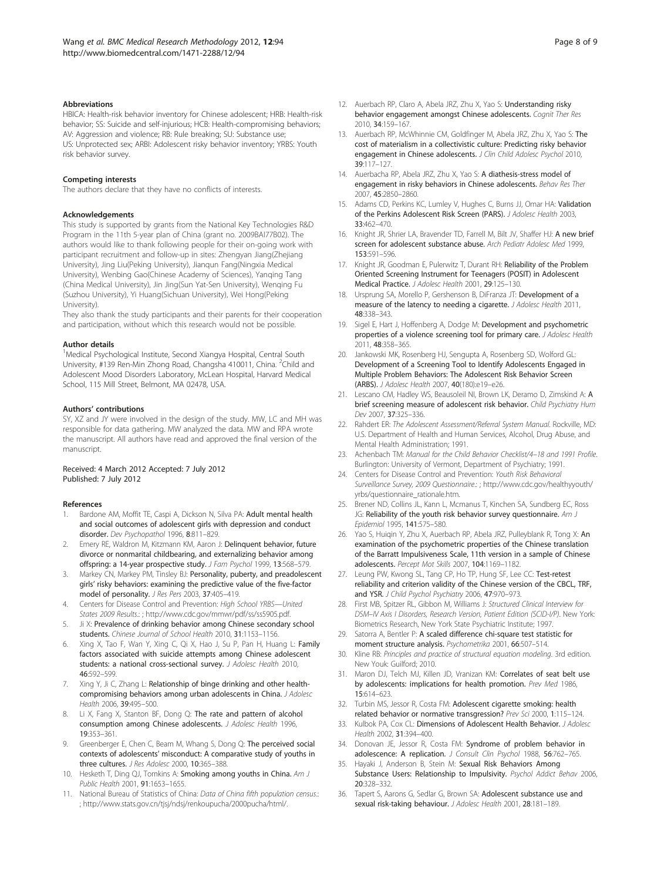#### <span id="page-7-0"></span>Abbreviations

HBICA: Health-risk behavior inventory for Chinese adolescent; HRB: Health-risk behavior; SS: Suicide and self-injurious; HCB: Health-compromising behaviors; AV: Aggression and violence; RB: Rule breaking; SU: Substance use; US: Unprotected sex; ARBI: Adolescent risky behavior inventory; YRBS: Youth risk behavior survey.

#### Competing interests

The authors declare that they have no conflicts of interests.

#### Acknowledgements

This study is supported by grants from the National Key Technologies R&D Program in the 11th 5-year plan of China (grant no. 2009BAI77B02). The authors would like to thank following people for their on-going work with participant recruitment and follow-up in sites: Zhengyan Jiang(Zhejiang University), Jing Liu(Peking University), Jianqun Fang(Ningxia Medical University), Wenbing Gao(Chinese Academy of Sciences), Yanqing Tang (China Medical University), Jin Jing(Sun Yat-Sen University), Wenqing Fu (Suzhou University), Yi Huang(Sichuan University), Wei Hong(Peking University).

They also thank the study participants and their parents for their cooperation and participation, without which this research would not be possible.

#### Author details

<sup>1</sup>Medical Psychological Institute, Second Xiangya Hospital, Central South University, #139 Ren-Min Zhong Road, Changsha 410011, China. <sup>2</sup>Child and Adolescent Mood Disorders Laboratory, McLean Hospital, Harvard Medical School, 115 Mill Street, Belmont, MA 02478, USA.

#### Authors' contributions

SY, XZ and JY were involved in the design of the study. MW, LC and MH was responsible for data gathering. MW analyzed the data. MW and RPA wrote the manuscript. All authors have read and approved the final version of the manuscript.

#### Received: 4 March 2012 Accepted: 7 July 2012 Published: 7 July 2012

#### References

- Bardone AM, Moffit TE, Caspi A, Dickson N, Silva PA: Adult mental health and social outcomes of adolescent girls with depression and conduct disorder. Dev Psychopathol 1996, 8:811-829.
- 2. Emery RE, Waldron M, Kitzmann KM, Aaron J: Delinquent behavior, future divorce or nonmarital childbearing, and externalizing behavior among offspring: a 14-year prospective study. J Fam Psychol 1999, 13:568–579.
- 3. Markey CN, Markey PM, Tinsley BJ: Personality, puberty, and preadolescent girls' risky behaviors: examining the predictive value of the five-factor model of personality. J Res Pers 2003, 37:405-419.
- 4. Centers for Disease Control and Prevention: High School YRBS—United States 2009 Results.: ; http://www.cdc.gov/mmwr/pdf/ss/ss5905.pdf.
- 5. Ji X: Prevalence of drinking behavior among Chinese secondary school students. Chinese Journal of School Health 2010, 31:1153–1156.
- 6. Xing X, Tao F, Wan Y, Xing C, Qi X, Hao J, Su P, Pan H, Huang L: Family factors associated with suicide attempts among Chinese adolescent students: a national cross-sectional survey. J Adolesc Health 2010, 46:592–599.
- 7. Xing Y, Ji C, Zhang L: Relationship of binge drinking and other healthcompromising behaviors among urban adolescents in China. J Adolesc Health 2006, 39:495–500.
- 8. Li X, Fang X, Stanton BF, Dong Q: The rate and pattern of alcohol consumption among Chinese adolescents. J Adolesc Health 1996, 19:353–361.
- 9. Greenberger E, Chen C, Beam M, Whang S, Dong Q: The perceived social contexts of adolescents' misconduct: A comparative study of youths in three cultures. J Res Adolesc 2000, 10:365-388.
- 10. Hesketh T, Ding QJ, Tomkins A: Smoking among youths in China. Am J Public Health 2001, 91:1653–1655.
- 11. National Bureau of Statistics of China: Data of China fifth population census.: ; http://www.stats.gov.cn/tjsj/ndsj/renkoupucha/2000pucha/html/.
- 12. Auerbach RP, Claro A, Abela JRZ, Zhu X, Yao S: Understanding risky behavior engagement amongst Chinese adolescents. Cognit Ther Res 2010, 34:159–167.
- 13. Auerbach RP, McWhinnie CM, Goldfinger M, Abela JRZ, Zhu X, Yao S: The cost of materialism in a collectivistic culture: Predicting risky behavior engagement in Chinese adolescents. J Clin Child Adolesc Psychol 2010, 39:117–127.
- 14. Auerbacha RP, Abela JRZ, Zhu X, Yao S: A diathesis-stress model of engagement in risky behaviors in Chinese adolescents. Behav Res Ther 2007, 45:2850–2860.
- 15. Adams CD, Perkins KC, Lumley V, Hughes C, Burns JJ, Omar HA: Validation of the Perkins Adolescent Risk Screen (PARS). J Adolesc Health 2003, 33:462–470.
- 16. Knight JR, Shrier LA, Bravender TD, Farrell M, Bilt JV, Shaffer HJ: A new brief screen for adolescent substance abuse. Arch Pediatr Adolesc Med 1999, 153:591–596.
- 17. Knight JR, Goodman E, Pulerwitz T, Durant RH: Reliability of the Problem Oriented Screening Instrument for Teenagers (POSIT) in Adolescent Medical Practice. J Adolesc Health 2001, 29:125–130.
- 18. Ursprung SA, Morello P, Gershenson B, DiFranza JT: Development of a measure of the latency to needing a cigarette. J Adolesc Health 2011, 48:338–343.
- 19. Sigel E, Hart J, Hoffenberg A, Dodge M: Development and psychometric properties of a violence screening tool for primary care. J Adolesc Health 2011, 48:358–365.
- 20. Jankowski MK, Rosenberg HJ, Sengupta A, Rosenberg SD, Wolford GL: Development of a Screening Tool to Identify Adolescents Engaged in Multiple Problem Behaviors: The Adolescent Risk Behavior Screen (ARBS). J Adolesc Health 2007, 40(180):e19–e26.
- 21. Lescano CM, Hadley WS, Beausoleil NI, Brown LK, Deramo D, Zimskind A: A brief screening measure of adolescent risk behavior. Child Psychiatry Hum Dev 2007, 37:325–336.
- 22. Rahdert ER: The Adolescent Assessment/Referral System Manual. Rockville, MD: U.S. Department of Health and Human Services, Alcohol, Drug Abuse, and Mental Health Administration; 1991.
- 23. Achenbach TM: Manual for the Child Behavior Checklist/4–18 and 1991 Profile. Burlington: University of Vermont, Department of Psychiatry; 1991.
- 24. Centers for Disease Control and Prevention: Youth Risk Behavioral Surveillance Survey, 2009 Questionnaire.: ; http://www.cdc.gov/healthyyouth/ yrbs/questionnaire\_rationale.htm.
- 25. Brener ND, Collins JL, Kann L, Mcmanus T, Kinchen SA, Sundberg EC, Ross JG: Reliability of the youth risk behavior survey questionnaire. Am J Epidemiol 1995, 141:575–580.
- 26. Yao S, Huigin Y, Zhu X, Auerbach RP, Abela JRZ, Pulleyblank R, Tong X: An examination of the psychometric properties of the Chinese translation of the Barratt Impulsiveness Scale, 11th version in a sample of Chinese adolescents. Percept Mot Skills 2007, 104:1169–1182.
- 27. Leung PW, Kwong SL, Tang CP, Ho TP, Hung SF, Lee CC: Test-retest reliability and criterion validity of the Chinese version of the CBCL, TRF, and YSR. J Child Psychol Psychiatry 2006, 47:970–973.
- 28. First MB, Spitzer RL, Gibbon M, Williams J: Structured Clinical Interview for DSM–IV Axis I Disorders, Research Version, Patient Edition (SCID-I/P). New York: Biometrics Research, New York State Psychiatric Institute; 1997.
- 29. Satorra A, Bentler P: A scaled difference chi-square test statistic for moment structure analysis. Psychometrika 2001, 66:507–514.
- 30. Kline RB: Principles and practice of structural equation modeling. 3rd edition. New Youk: Guilford; 2010.
- 31. Maron DJ, Telch MJ, Killen JD, Vranizan KM: Correlates of seat belt use by adolescents: implications for health promotion. Prev Med 1986, 15:614–623.
- 32. Turbin MS, Jessor R, Costa FM: Adolescent cigarette smoking: health related behavior or normative transgression? Prev Sci 2000, 1:115–124.
- 33. Kulbok PA, Cox CL: Dimensions of Adolescent Health Behavior. J Adolesc Health 2002, 31:394–400.
- 34. Donovan JE, Jessor R, Costa FM: Syndrome of problem behavior in adolescence: A replication. J Consult Clin Psychol 1988, 56:762-765.
- 35. Hayaki J, Anderson B, Stein M: Sexual Risk Behaviors Among Substance Users: Relationship to Impulsivity. Psychol Addict Behav 2006, 20:328–332.
- 36. Tapert S, Aarons G, Sedlar G, Brown SA: Adolescent substance use and sexual risk-taking behaviour. J Adolesc Health 2001, 28:181-189.